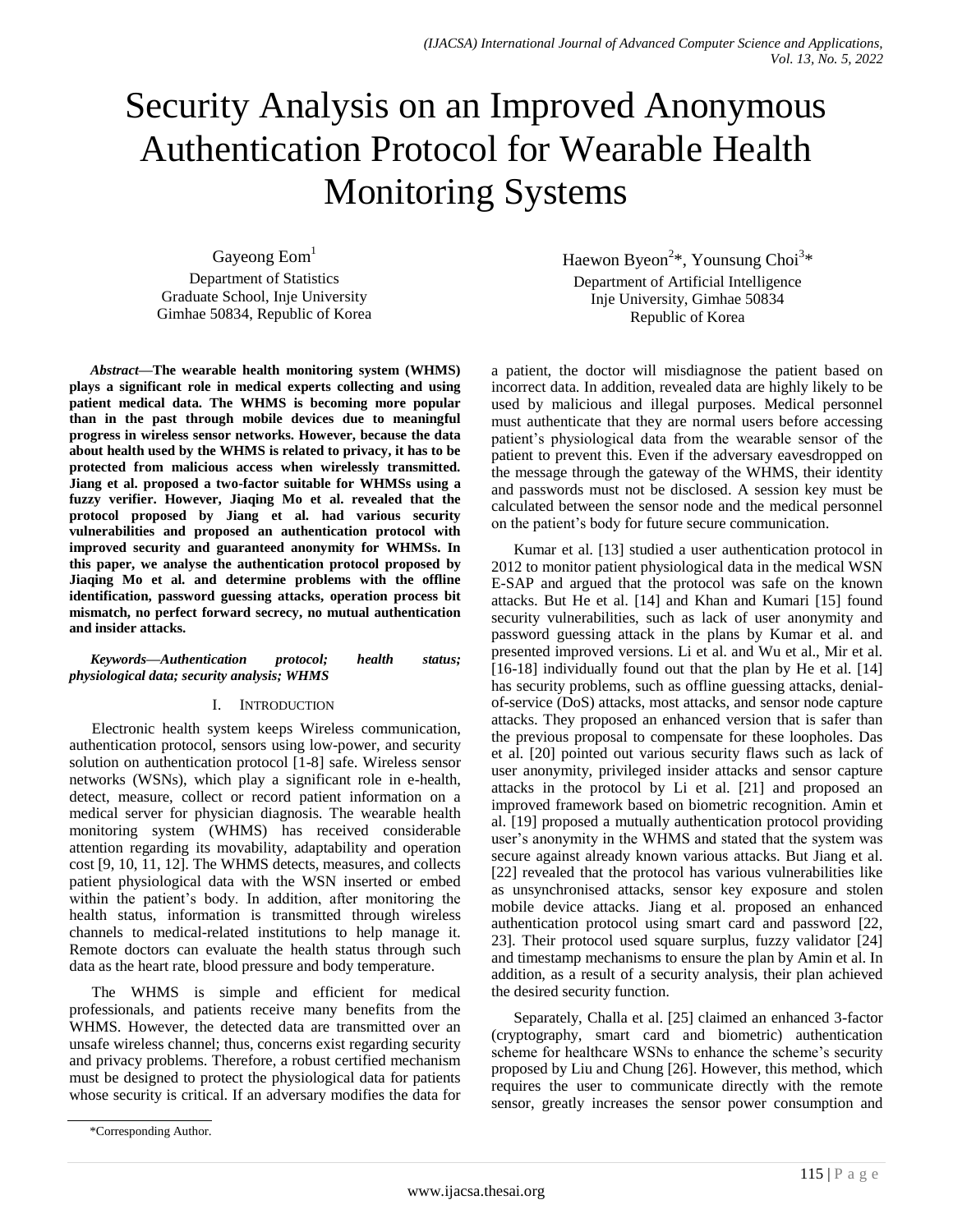# Security Analysis on an Improved Anonymous Authentication Protocol for Wearable Health Monitoring Systems

Gayeong Eom<sup>1</sup> Department of Statistics Graduate School, Inje University Gimhae 50834, Republic of Korea

*Abstract***—The wearable health monitoring system (WHMS) plays a significant role in medical experts collecting and using patient medical data. The WHMS is becoming more popular than in the past through mobile devices due to meaningful progress in wireless sensor networks. However, because the data about health used by the WHMS is related to privacy, it has to be protected from malicious access when wirelessly transmitted. Jiang et al. proposed a two-factor suitable for WHMSs using a fuzzy verifier. However, Jiaqing Mo et al. revealed that the protocol proposed by Jiang et al. had various security vulnerabilities and proposed an authentication protocol with improved security and guaranteed anonymity for WHMSs. In this paper, we analyse the authentication protocol proposed by Jiaqing Mo et al. and determine problems with the offline identification, password guessing attacks, operation process bit mismatch, no perfect forward secrecy, no mutual authentication and insider attacks.**

#### *Keywords—Authentication protocol; health status; physiological data; security analysis; WHMS*

### I. INTRODUCTION

Electronic health system keeps Wireless communication, authentication protocol, sensors using low-power, and security solution on authentication protocol [1-8] safe. Wireless sensor networks (WSNs), which play a significant role in e-health, detect, measure, collect or record patient information on a medical server for physician diagnosis. The wearable health monitoring system (WHMS) has received considerable attention regarding its movability, adaptability and operation cost [9, 10, 11, 12]. The WHMS detects, measures, and collects patient physiological data with the WSN inserted or embed within the patient's body. In addition, after monitoring the health status, information is transmitted through wireless channels to medical-related institutions to help manage it. Remote doctors can evaluate the health status through such data as the heart rate, blood pressure and body temperature.

The WHMS is simple and efficient for medical professionals, and patients receive many benefits from the WHMS. However, the detected data are transmitted over an unsafe wireless channel; thus, concerns exist regarding security and privacy problems. Therefore, a robust certified mechanism must be designed to protect the physiological data for patients whose security is critical. If an adversary modifies the data for Haewon Byeon<sup>2\*</sup>, Younsung Choi<sup>3\*</sup> Department of Artificial Intelligence Inje University, Gimhae 50834 Republic of Korea

a patient, the doctor will misdiagnose the patient based on incorrect data. In addition, revealed data are highly likely to be used by malicious and illegal purposes. Medical personnel must authenticate that they are normal users before accessing patient's physiological data from the wearable sensor of the patient to prevent this. Even if the adversary eavesdropped on the message through the gateway of the WHMS, their identity and passwords must not be disclosed. A session key must be calculated between the sensor node and the medical personnel on the patient's body for future secure communication.

Kumar et al. [13] studied a user authentication protocol in 2012 to monitor patient physiological data in the medical WSN E-SAP and argued that the protocol was safe on the known attacks. But He et al. [14] and Khan and Kumari [15] found security vulnerabilities, such as lack of user anonymity and password guessing attack in the plans by Kumar et al. and presented improved versions. Li et al. and Wu et al., Mir et al. [16-18] individually found out that the plan by He et al. [14] has security problems, such as offline guessing attacks, denialof-service (DoS) attacks, most attacks, and sensor node capture attacks. They proposed an enhanced version that is safer than the previous proposal to compensate for these loopholes. Das et al. [20] pointed out various security flaws such as lack of user anonymity, privileged insider attacks and sensor capture attacks in the protocol by Li et al. [21] and proposed an improved framework based on biometric recognition. Amin et al. [19] proposed a mutually authentication protocol providing user's anonymity in the WHMS and stated that the system was secure against already known various attacks. But Jiang et al. [22] revealed that the protocol has various vulnerabilities like as unsynchronised attacks, sensor key exposure and stolen mobile device attacks. Jiang et al. proposed an enhanced authentication protocol using smart card and password [22, 23]. Their protocol used square surplus, fuzzy validator [24] and timestamp mechanisms to ensure the plan by Amin et al. In addition, as a result of a security analysis, their plan achieved the desired security function.

Separately, Challa et al. [25] claimed an enhanced 3-factor (cryptography, smart card and biometric) authentication scheme for healthcare WSNs to enhance the scheme's security proposed by Liu and Chung [26]. However, this method, which requires the user to communicate directly with the remote sensor, greatly increases the sensor power consumption and

<sup>\*</sup>Corresponding Author.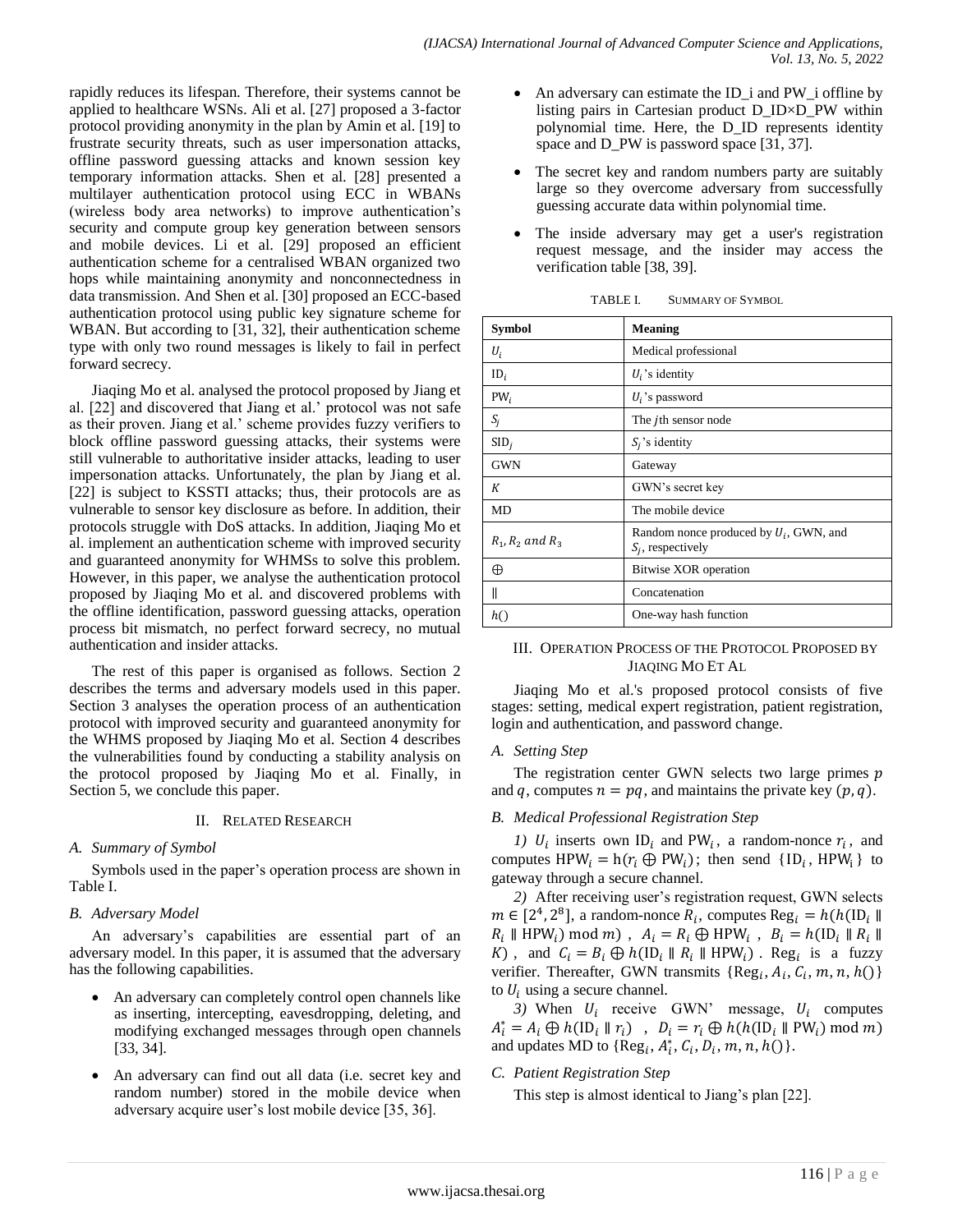rapidly reduces its lifespan. Therefore, their systems cannot be applied to healthcare WSNs. Ali et al. [27] proposed a 3-factor protocol providing anonymity in the plan by Amin et al. [19] to frustrate security threats, such as user impersonation attacks, offline password guessing attacks and known session key temporary information attacks. Shen et al. [28] presented a multilayer authentication protocol using ECC in WBANs (wireless body area networks) to improve authentication's security and compute group key generation between sensors and mobile devices. Li et al. [29] proposed an efficient authentication scheme for a centralised WBAN organized two hops while maintaining anonymity and nonconnectedness in data transmission. And Shen et al. [30] proposed an ECC-based authentication protocol using public key signature scheme for WBAN. But according to [31, 32], their authentication scheme type with only two round messages is likely to fail in perfect forward secrecy.

Jiaqing Mo et al. analysed the protocol proposed by Jiang et al. [22] and discovered that Jiang et al.' protocol was not safe as their proven. Jiang et al.' scheme provides fuzzy verifiers to block offline password guessing attacks, their systems were still vulnerable to authoritative insider attacks, leading to user impersonation attacks. Unfortunately, the plan by Jiang et al. [22] is subject to KSSTI attacks; thus, their protocols are as vulnerable to sensor key disclosure as before. In addition, their protocols struggle with DoS attacks. In addition, Jiaqing Mo et al. implement an authentication scheme with improved security and guaranteed anonymity for WHMSs to solve this problem. However, in this paper, we analyse the authentication protocol proposed by Jiaqing Mo et al. and discovered problems with the offline identification, password guessing attacks, operation process bit mismatch, no perfect forward secrecy, no mutual authentication and insider attacks.

The rest of this paper is organised as follows. Section 2 describes the terms and adversary models used in this paper. Section 3 analyses the operation process of an authentication protocol with improved security and guaranteed anonymity for the WHMS proposed by Jiaqing Mo et al. Section 4 describes the vulnerabilities found by conducting a stability analysis on the protocol proposed by Jiaqing Mo et al. Finally, in Section 5, we conclude this paper.

# II. RELATED RESEARCH

# *A. Summary of Symbol*

Symbols used in the paper's operation process are shown in Table I.

# *B. Adversary Model*

An adversary's capabilities are essential part of an adversary model. In this paper, it is assumed that the adversary has the following capabilities.

- An adversary can completely control open channels like as inserting, intercepting, eavesdropping, deleting, and modifying exchanged messages through open channels [33, 34].
- An adversary can find out all data (i.e. secret key and random number) stored in the mobile device when adversary acquire user's lost mobile device [35, 36].
- An adversary can estimate the ID\_i and PW\_i offline by listing pairs in Cartesian product D\_ID×D\_PW within polynomial time. Here, the D\_ID represents identity space and D\_PW is password space [31, 37].
- The secret key and random numbers party are suitably large so they overcome adversary from successfully guessing accurate data within polynomial time.
- The inside adversary may get a user's registration request message, and the insider may access the verification table [38, 39].

| Symbol               | <b>Meaning</b>                                                    |
|----------------------|-------------------------------------------------------------------|
| $U_i$                | Medical professional                                              |
| $ID_i$               | $U_i$ 's identity                                                 |
| $PW_i$               | $U_i$ 's password                                                 |
| $S_j$                | The jth sensor node                                               |
| SID <sub>i</sub>     | $S_i$ 's identity                                                 |
| <b>GWN</b>           | Gateway                                                           |
| К                    | GWN's secret key                                                  |
| MD                   | The mobile device                                                 |
| $R_1, R_2$ and $R_3$ | Random nonce produced by $U_i$ , GWN, and<br>$S_i$ , respectively |
| ⊕                    | <b>Bitwise XOR</b> operation                                      |
| Ш                    | Concatenation                                                     |
| h()                  | One-way hash function                                             |

TABLE I. SUMMARY OF SYMBOL

## III. OPERATION PROCESS OF THE PROTOCOL PROPOSED BY JIAQING MO ET AL

Jiaqing Mo et al.'s proposed protocol consists of five stages: setting, medical expert registration, patient registration, login and authentication, and password change.

### *A. Setting Step*

The registration center GWN selects two large primes  $p$ and q, computes  $n = pq$ , and maintains the private key  $(p, q)$ .

# *B. Medical Professional Registration Step*

*1)*  $U_i$  inserts own ID<sub>i</sub> and PW<sub>i</sub>, a random-nonce  $r_i$ , and computes  $HPW_i = h(r_i \oplus PW_i)$ ; then send {ID<sub>i</sub>, HPW<sub>i</sub>} to gateway through a secure channel.

*2)* After receiving user's registration request, GWN selects  $m \in [2^4, 2^8]$ , a random-nonce  $R_i$ , computes  $R_i \parallel \text{HPW}_i \text{) mod } m$ ,  $A_i = R_i \oplus \text{HPW}_i$ , K), and  $C_i = B_i \oplus h(\text{ID}_i \parallel R_i \parallel \text{HPW}_i)$ . Reg<sub>i</sub> is a fuzzy verifier. Thereafter, GWN transmits  $\{Reg_i, A_i, C_i, m, n, h()\}$ to  $U_i$  using a secure channel.

3) When  $U_i$  receive GWN' message,  $U_i$  computes  $A_i^* = A_i \oplus h(\text{ID}_i \parallel r_i)$ , D and updates MD to  $\{Reg_i, A_i^*, C_i, D_i, m, n, h)\}.$ 

# *C. Patient Registration Step*

This step is almost identical to Jiang's plan [22].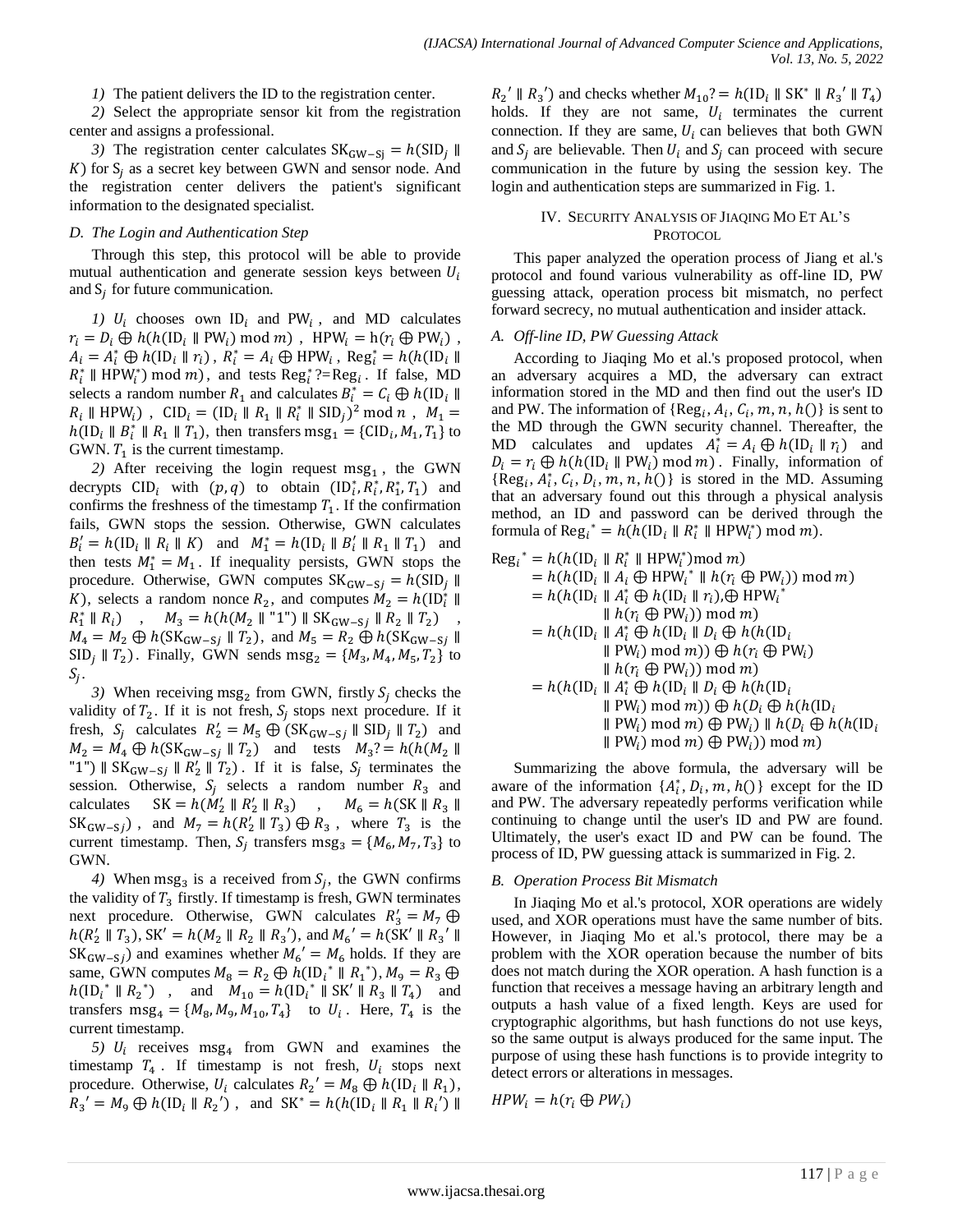*1)* The patient delivers the ID to the registration center.

*2)* Select the appropriate sensor kit from the registration center and assigns a professional.

*3*) The registration center calculates  $SK_{GW-Si} = h(SID_i \parallel$  $K$ ) for  $S_i$  as a secret key between GWN and sensor node. And the registration center delivers the patient's significant information to the designated specialist.

#### *D. The Login and Authentication Step*

Through this step, this protocol will be able to provide mutual authentication and generate session keys between  $U_i$ and  $S_i$  for future communication.

1)  $U_i$  chooses own  $ID_i$  and PW<sub>i</sub>, and MD calculates  $r_i = D_i \oplus h(h(\text{ID}_i \parallel \text{PW}_i) \text{ mod } m)$ , HPW<sub>i</sub> = h( $r_i \oplus \text{PW}_i$ ),  $A_i = A_i^* \oplus h( \text{ID}_i \parallel r_i), R_i^* = A_i \oplus \text{HPW}_i, \text{Reg}_i^*$  $R_i^*$  || HPW<sub>i</sub><sup>\*</sup>) mod m), and tests Reg<sub>i</sub><sup>\*</sup>?=Reg<sub>i</sub>. If false, MD selects a random number  $R_1$  and calculates  $B_i^*$  $R_i \parallel \text{HPW}_i$ ),  $\text{CID}_i = (\text{ID}_i \parallel R_1 \parallel R_i^* \parallel \text{SID}_i)^2 \mod n$ ,  $h(\text{ID}_i \parallel B_i^* \parallel R_1 \parallel T_1)$ , then transfers  $\text{msg}_1 = \{\text{CID}_i, M_1, T_1\}$  to GWN.  $T_1$  is the current timestamp.

2) After receiving the login request  $msg_1$ , the GWN decrypts  $CID_i$  with  $(p, q)$  to obtain  $(ID_i^*, R_i^*, T_1)$  and confirms the freshness of the timestamp  $T_1$ . If the confirmation fails, GWN stops the session. Otherwise, GWN calculates  $B'_i = h(\text{ID}_i \parallel R_i \parallel K)$  and  $M_1^* = h(\text{ID}_i \parallel B'_i \parallel R_1 \parallel T_1)$  and then tests  $M_1^* = M_1$ . If inequality persists, GWN stops the procedure. Otherwise, GWN computes  $SK_{GW-Sj} = h(SID_j \parallel$ K), selects a random nonce  $R_2$ , and computes  $M_2 = h(\mathrm{ID}_i^*)$  $R_1^*$  $M_3 = h(h(M_2 \parallel "1") \parallel SK_{GW-Sj} \parallel R_2 \parallel T_2)$  $M_4 = M_2 \oplus h(SK_{GW-Sj} \parallel T_2)$ , and  $M_5 = R_2 \oplus h(SK_{GW-Sj} \parallel T_2)$  $SID_i \parallel T_2$ . Finally, GWN sends  $msg_2 = \{M_3, M_4, M_5, T_2\}$  to  $S_i$ .

3) When receiving msg<sub>2</sub> from GWN, firstly  $S_i$  checks the validity of  $T_2$ . If it is not fresh,  $S_i$  stops next procedure. If it fresh,  $S_i$  calculates  $R'_2 = M_5 \bigoplus (SK_{GW-Si} \parallel SID_i \parallel T_2)$  and  $M_2 = M_4 \oplus h(SK_{GW-Sj} \parallel T_2)$  and tests  $M_3? = h(h(M_2 \parallel$ "1")  $\parallel$  SK<sub>GW-Si</sub>  $\parallel$  R<sub>2</sub> $\parallel$  T<sub>2</sub>). If it is false, S<sub>i</sub> terminates the session. Otherwise,  $S_i$  selects a random number  $R_3$  and calculates  $SK = h(M'_2 \parallel R'_2 \parallel R_3)$ ,  $SK_{GW-Si}$ , and  $M_7 = h(R'_2 \parallel T_3) \bigoplus R_3$ , where  $T_3$  is the current timestamp. Then,  $S_i$  transfers  $\text{msg}_3 = \{M_6, M_7, T_3\}$  to GWN.

4) When msg<sub>3</sub> is a received from  $S_i$ , the GWN confirms the validity of  $T_3$  firstly. If timestamp is fresh, GWN terminates next procedure. Otherwise, GWN calculates  $R_3$  $h(R'_2 \parallel T_3)$ , SK' =  $h(M_2 \parallel R_2 \parallel R_3')$ , and  $M_6' = h(SK' \parallel R_3')$  $SK_{GW-Si}$ ) and examines whether  $M_6' = M_6$  holds. If they are same, GWN computes  $M_8 = R_2 \oplus h(\text{ID}_i^* \parallel R_1^*)$ ,  $h(\text{ID}_{i}^{*} \parallel R_{2}^{*})$ , and  $M_{10} = h(\text{ID}_{i}^{*} \parallel \text{SK}' \parallel R_{3} \parallel T_{4})$  and transfers  $msg_4 = \{M_8, M_9, M_{10}, T_4\}$  to  $U_i$ . Here,  $T_4$  is the current timestamp.

5)  $U_i$  receives  $msg_4$  from GWN and examines the timestamp  $T_4$ . If timestamp is not fresh,  $U_i$  stops next procedure. Otherwise,  $U_i$  calculates  $R_2' = M_8 \oplus h(\text{ID}_i \parallel R_1)$ ,  $R_3' = M_9 \oplus h(\text{ID}_i \parallel R_2')$ , and  $\text{SK}^* = h(h(\text{ID}_i \parallel R_1 \parallel R_1'))$ 

 $R_2$ ' ||  $R_3$ ') and checks whether  $M_{10}$ ? =  $h(ID_i || SK^* || R_3$ ' holds. If they are not same,  $U_i$  terminates the current connection. If they are same,  $U_i$  can believes that both GWN and  $S_i$  are believable. Then  $U_i$  and  $S_i$  can proceed with secure communication in the future by using the session key. The login and authentication steps are summarized in Fig. 1.

## IV. SECURITY ANALYSIS OF JIAQING MO ET AL'S PROTOCOL.

This paper analyzed the operation process of Jiang et al.'s protocol and found various vulnerability as off-line ID, PW guessing attack, operation process bit mismatch, no perfect forward secrecy, no mutual authentication and insider attack.

## *A. Off-line ID, PW Guessing Attack*

According to Jiaqing Mo et al.'s proposed protocol, when an adversary acquires a MD, the adversary can extract information stored in the MD and then find out the user's ID and PW. The information of  ${Reg<sub>i</sub>, A<sub>i</sub>, C<sub>i</sub>, m, n, h() }$  is sent to the MD through the GWN security channel. Thereafter, the MD calculates and updates  $A_i^* = A_i \oplus h(\text{ID}_i || r_i)$  and  $D_i = r_i \oplus h(h(\text{ID}_i \parallel \text{PW}_i) \mod m)$ . Finally, information of  ${Reg<sub>i</sub>, A<sub>i</sub>, C<sub>i</sub>, D<sub>i</sub>, m, n, h() }$  is stored in the MD. Assuming that an adversary found out this through a physical analysis method, an ID and password can be derived through the formula of Reg<sub>i</sub><sup>\*</sup> =  $h(h(\text{ID}_{i} \parallel R_{i}^{*} \parallel \text{HPW}_{i}^{*}) \mod m)$ .

$$
\operatorname{Reg}_{i}^{*} = h(h(\operatorname{ID}_{i} \parallel R_{i}^{*} \parallel \operatorname{HPW}_{i}^{*}) \mod m)
$$
\n
$$
= h(h(\operatorname{ID}_{i} \parallel A_{i} \oplus \operatorname{HPW}_{i}^{*} \parallel h(r_{i} \oplus \operatorname{PW}_{i})) \mod m)
$$
\n
$$
= h(h(\operatorname{ID}_{i} \parallel A_{i}^{*} \oplus h(\operatorname{ID}_{i} \parallel r_{i}) \oplus \operatorname{HPW}_{i}^{*})
$$
\n
$$
\parallel h(r_{i} \oplus \operatorname{PW}_{i})) \mod m
$$
\n
$$
= h(h(\operatorname{ID}_{i} \parallel A_{i}^{*} \oplus h(\operatorname{ID}_{i} \parallel D_{i} \oplus h(h(\operatorname{ID}_{i} \parallel P_{i})) \mod m))
$$
\n
$$
= h(h(\operatorname{ID}_{i} \parallel A_{i}^{*} \oplus h(\operatorname{ID}_{i} \parallel D_{i} \oplus h(r_{i} \oplus \operatorname{PW}_{i}))
$$
\n
$$
\parallel h(r_{i} \oplus \operatorname{PW}_{i})) \mod m)
$$
\n
$$
= h(h(\operatorname{ID}_{i} \parallel A_{i}^{*} \oplus h(\operatorname{ID}_{i} \parallel D_{i} \oplus h(h(\operatorname{ID}_{i} \parallel P_{i} \oplus h(h(\operatorname{ID}_{i} \parallel P_{i} \oplus h(r_{i} \oplus h(r_{i} \parallel P_{i} \oplus h(r_{i} \parallel P_{i} \oplus h(r_{i} \parallel P_{i} \oplus h(r_{i} \parallel P_{i} \oplus h(r_{i} \parallel P_{i} \oplus h(r_{i} \parallel P_{i} \oplus h(r_{i} \parallel P_{i} \oplus h(r_{i} \parallel P_{i} \oplus h(r_{i} \parallel P_{i} \oplus h(r_{i} \parallel P_{i} \oplus h(r_{i} \parallel P_{i} \oplus h(r_{i} \parallel P_{i} \oplus h(r_{i} \parallel P_{i} \parallel P_{i} \oplus h(r_{i} \parallel P_{i} \parallel P_{i} \oplus h(r_{i} \parallel P_{i} \oplus h(r_{i} \parallel P_{i} \parallel P_{i} \oplus h(r_{i} \parallel P_{i} \parallel P_{i} \parallel P_{i} \oplus h(r_{i} \parallel P_{i} \parallel P_{i} \oplus h(r_{
$$

Summarizing the above formula, the adversary will be aware of the information  $\{A_i^*, D_i, m, h()\}$  except for the ID and PW. The adversary repeatedly performs verification while continuing to change until the user's ID and PW are found. Ultimately, the user's exact ID and PW can be found. The process of ID, PW guessing attack is summarized in Fig. 2.

### *B. Operation Process Bit Mismatch*

In Jiaqing Mo et al.'s protocol, XOR operations are widely used, and XOR operations must have the same number of bits. However, in Jiaqing Mo et al.'s protocol, there may be a problem with the XOR operation because the number of bits does not match during the XOR operation. A hash function is a function that receives a message having an arbitrary length and outputs a hash value of a fixed length. Keys are used for cryptographic algorithms, but hash functions do not use keys, so the same output is always produced for the same input. The purpose of using these hash functions is to provide integrity to detect errors or alterations in messages.

$$
HPW_i = h(r_i \oplus PW_i)
$$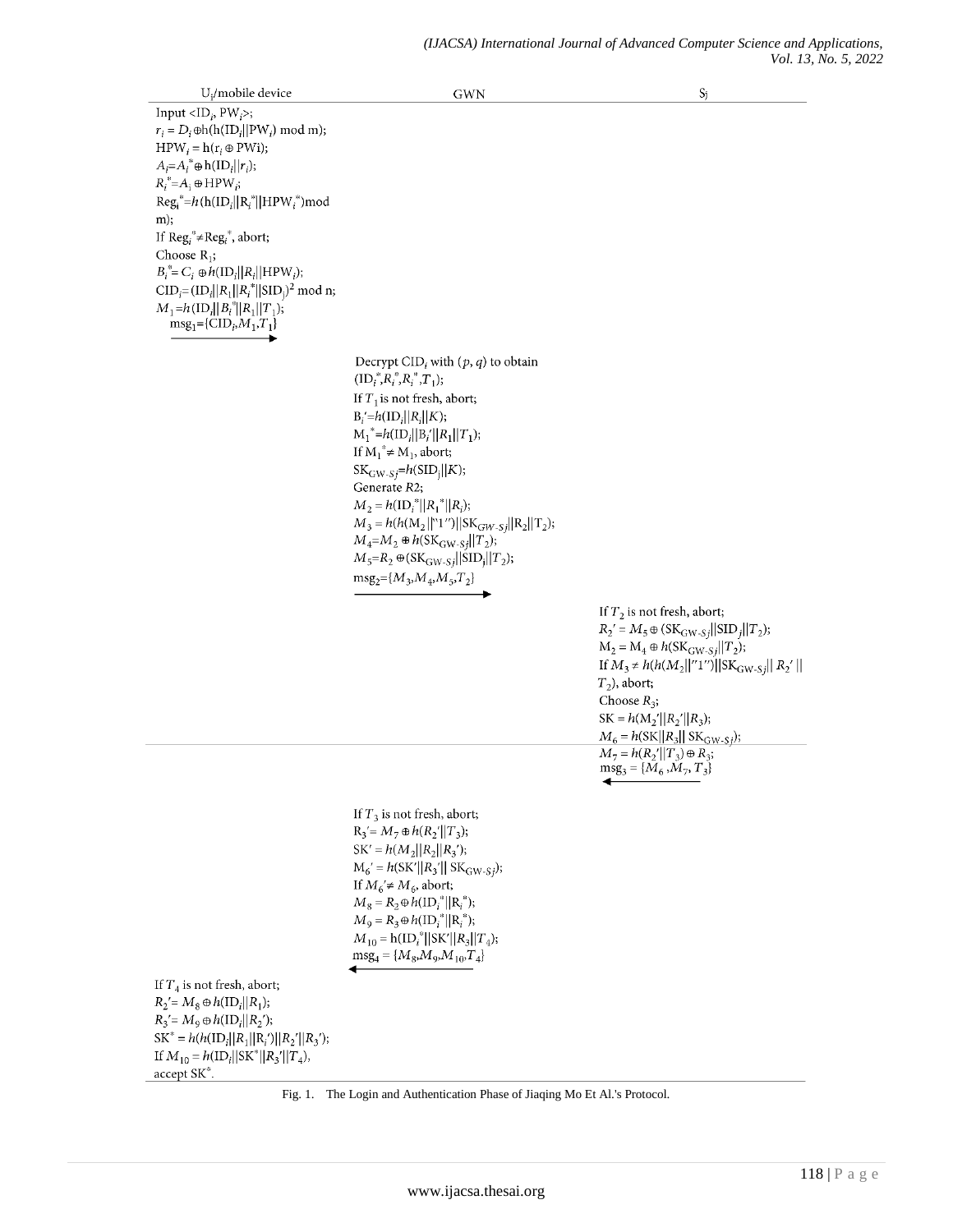$U_i$ /mobile device **GWN**  $S_j$ Input  $\langle$ ID<sub>i</sub>, PW<sub>i</sub>>;  $r_i = D_i \oplus h(h(ID_i || PW_i) \mod m);$  $HPW_i = h(r_i \oplus PWi);$  $A_i = A_i^* \oplus h(ID_i || r_i);$  $R_i^* = A_i \oplus \text{HPW}_i;$  $\text{Reg}_i^* = h(\text{h}(\text{ID}_i||\text{R}_i^*||\text{HPW}_i^*))\text{mod}$  $m$ ); If  $\text{Reg}_i^* \neq \text{Reg}_i^*$ , abort; Choose  $R_1$ ;  $B_i^* = C_i \oplus h(\mathrm{ID}_i || R_i || \mathrm{HPW}_i);$  $CID_i = (ID_i || R_1 || R_i^* || SID_i)^2 \text{ mod } n;$  $M_1=h(\text{ID}_i||B_i^*||R_1||T_1);$  $\text{msg}_1 = {\text{CID}_i, M_1, T_1}$ Decrypt CID<sub>i</sub> with  $(p, q)$  to obtain  $(ID_i^*, R_i^*, R_i^*, T_1);$ If  $T_1$  is not fresh, abort;  $B_i' = h(ID_i || R_i || K);$  $M_1^* = h(ID_i || B_i' || R_1 || T_1);$ If  $M_1^* \neq M_1$ , abort;  $SK_{GW-Sj} = h(SID_j||K);$ Generate R2;  $M_2 = h(\mathrm{ID}_i^*||R_1^*||R_i);$  $M_3 = h(h(M_2||N1'')||SK_{GW-Sj}||R_2||T_2);$  $M_4 = M_2 \oplus h(SK_{GW-Si}||T_2);$  $M_5=R_2 \oplus (SK_{\text{GW-S}}/||\text{SID}_j||T_2);$  $\mathrm{msg}_2\!\!=\!\!\{M_3,\!M_4,\!M_5,\!T_2\}$ If  $T_2$  is not fresh, abort;  $R_2' = M_5 \oplus (SK_{\text{GW-S}} || \text{SID}_j || T_2);$  $M_2 = M_4 \oplus h(SK_{GW-Sj}||T_2);$ If  $M_3 \neq h(h(M_2||''1'')||SK_{\text{GW-S}j}|| R_2' ||$  $T_2$ ), abort; Choose  $R_3$ ;  $SK = h(M_2'||R_2'||R_3);$  $M_6 = h(SK||R_3||SK_{GW-Sj});$  $M_7 = h(R_2'||T_3) \oplus R_3;$  $\text{msg}_3 = \{\tilde{M}_6, \tilde{M}_7, T_3\}$ If  $T_3$  is not fresh, abort;  $R_3' = M_7 \oplus h(R_2'||T_3);$  $SK' = h(M_2||R_2||R_3')$ ;  $M_6' = h(SK'||R_3'||SK_{GW-Sj});$ If  $M_6' \neq M_6$ , abort;  $M_8 = R_2 \oplus h(ID_i^* || R_i^*);$  $M_9 = R_3 \oplus h(\mathrm{ID}_i^* || R_i^*);$  $M_{10} = h(ID_i^* || SK' || R_3 || T_4);$  $msg_4 = {M_8, M_9, M_{10}, T_4}$ If  $T_4$  is not fresh, abort;  $R_2 = M_8 \oplus h(ID_i || R_1);$  $R_3' = M_9 \oplus h(ID_i || R_2');$  $SK^* = h(h(ID_i || R_1 || R_i') || R_2' || R_3');$ If  $M_{10} = h(\text{ID}_i||\text{SK}^*||R_3'||T_4),$ accept SK\*

Fig. 1. The Login and Authentication Phase of Jiaqing Mo Et Al.'s Protocol.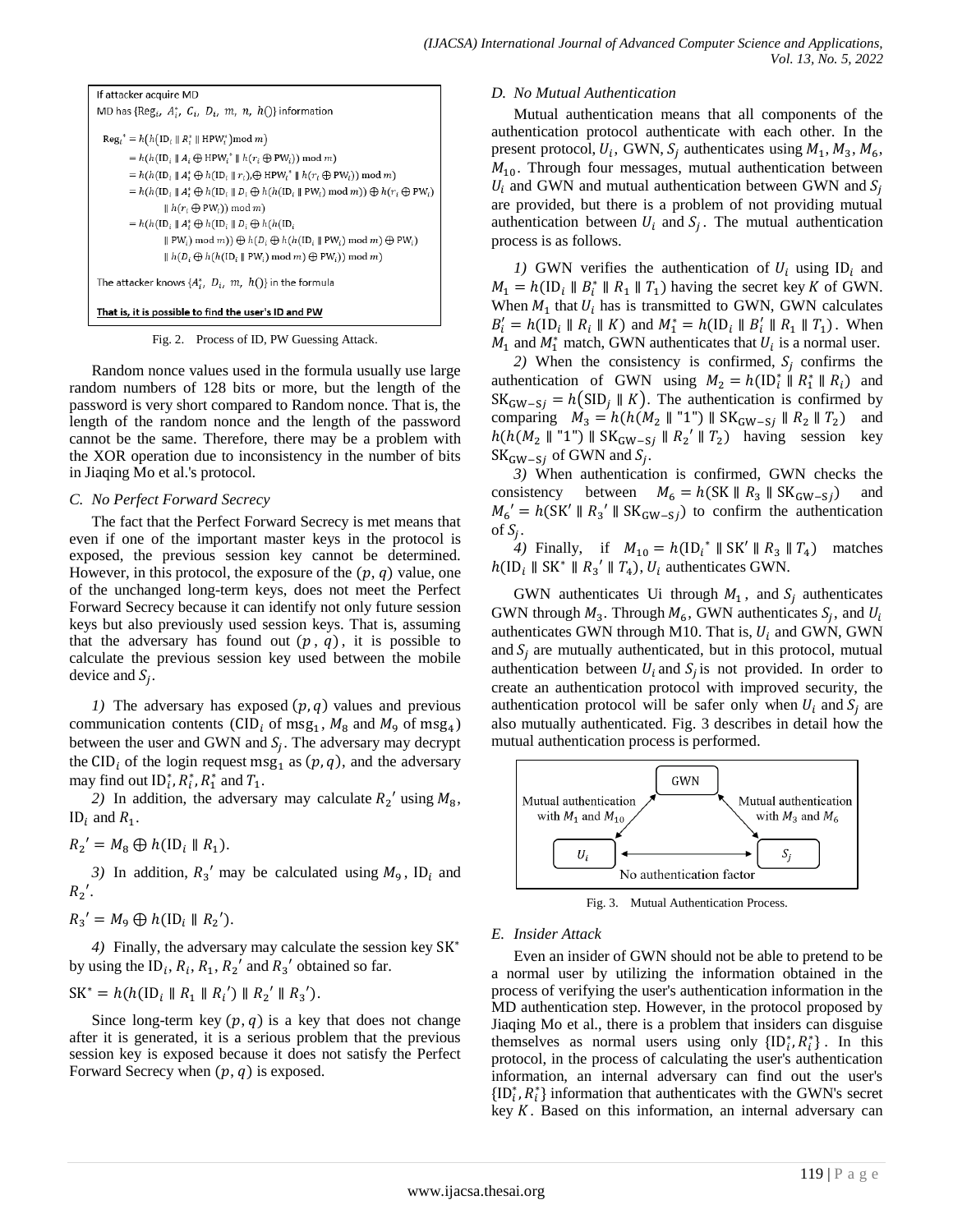```
If attacker acquire MD
MD has {Reg<sub>i</sub>, A_i^*, C_i, D_i, m, n, h()} information
  \operatorname{Reg}_i^* = h(h(\operatorname{ID}_i \parallel R_i^* \parallel \operatorname{HPW}_i^*) \mod m)= h(h(\text{ID}_i \parallel A_i \oplus \text{HPW}_i^* \parallel h(r_i \oplus \text{PW}_i)) \mod m)= h(h(\text{ID}_{i} \parallel A_{i}^{*} \oplus h(\text{ID}_{i} \parallel r_{i}), \oplus \text{HPW}_{i}^{*} \parallel h(r_{i} \oplus \text{PW}_{i})) \mod m)=h(h(\mathsf{ID}_i\parallel A_i^*\oplus h(\mathsf{ID}_i\parallel D_i\oplus h(h(\mathsf{ID}_i\parallel \mathsf{PW}_i)\bmod m))\oplus h(r_i\oplus \mathsf{PW}_i)\parallel h(r_i \oplus PW_i)) \mod m= h(h(\mathsf{ID}_i \mathbin\Vert A_i^* \oplus h(\mathsf{ID}_i \mathbin\Vert D_i \oplus h(h(\mathsf{ID}_i\parallel \text{PW}_i) \bmod m) ) \oplus h(D_i \oplus h(h(\text{ID}_i \parallel \text{PW}_i) \bmod m) \oplus \text{PW}_i)\parallel h(D_i \oplus h(h(\text{ID}_i \parallel \text{PW}_i) \mod m) \oplus \text{PW}_i)) \mod m)The attacker knows \{A_i^*, D_i, m, h()\} in the formula
```
#### That is, it is possible to find the user's ID and PW

Fig. 2. Process of ID, PW Guessing Attack.

Random nonce values used in the formula usually use large random numbers of 128 bits or more, but the length of the password is very short compared to Random nonce. That is, the length of the random nonce and the length of the password cannot be the same. Therefore, there may be a problem with the XOR operation due to inconsistency in the number of bits in Jiaqing Mo et al.'s protocol.

#### *C. No Perfect Forward Secrecy*

The fact that the Perfect Forward Secrecy is met means that even if one of the important master keys in the protocol is exposed, the previous session key cannot be determined. However, in this protocol, the exposure of the  $(p, q)$  value, one of the unchanged long-term keys, does not meet the Perfect Forward Secrecy because it can identify not only future session keys but also previously used session keys. That is, assuming that the adversary has found out  $(p, q)$ , it is possible to calculate the previous session key used between the mobile device and  $S_i$ .

*1)* The adversary has exposed  $(p, q)$  values and previous communication contents (CID<sub>i</sub> of msg<sub>1</sub>,  $M_8$  and  $M_9$  of msg<sub>4</sub>) between the user and GWN and  $S_i$ . The adversary may decrypt the CID<sub>i</sub> of the login request msg<sub>1</sub> as  $(p, q)$ , and the adversary may find out  $ID_i^*, R_i^*, R_1^*$  and  $T_1$ .

2) In addition, the adversary may calculate  $R_2$ <sup>'</sup> using  $M_8$ , ID<sub>i</sub> and  $R_1$ .

 $R_2' = M_8 \bigoplus h(\text{ID}_i \parallel R_1).$ 

3) In addition,  $R_3'$  may be calculated using  $M_9$ , ID<sub>i</sub> and  $R_2$ '.

 $R_3' = M_9 \oplus h(\text{ID}_i \parallel R_2').$ 

*4)* Finally, the adversary may calculate the session key by using the  $ID_i$ ,  $R_i$ ,  $R_1$ ,  $R_2'$  and  $R_3'$  obtained so far.

$$
SK^* = h(h(ID_i \parallel R_1 \parallel R_i') \parallel R_2' \parallel R_3').
$$

Since long-term key  $(p, q)$  is a key that does not change after it is generated, it is a serious problem that the previous session key is exposed because it does not satisfy the Perfect Forward Secrecy when  $(p, q)$  is exposed.

#### *D. No Mutual Authentication*

Mutual authentication means that all components of the authentication protocol authenticate with each other. In the present protocol,  $U_i$ , GWN,  $S_i$  authenticates using  $M_1$ ,  $M_3$ ,  $M_6$ ,  $M_{10}$ . Through four messages, mutual authentication between  $U_i$  and GWN and mutual authentication between GWN and  $S_i$ are provided, but there is a problem of not providing mutual authentication between  $U_i$  and  $S_i$ . The mutual authentication process is as follows.

*1)* GWN verifies the authentication of  $U_i$  using ID<sub>i</sub> and  $M_1 = h(\text{ID}_i \parallel B_i^* \parallel R_1 \parallel T_1)$  having the secret key K of GWN. When  $M_1$  that  $U_i$  has is transmitted to GWN, GWN calculates  $B'_i = h(\text{ID}_i \parallel R_i \parallel K)$  and  $M_1^* = h(\text{ID}_i \parallel B'_i \parallel R_1 \parallel T_1)$ . When  $M_1$  and  $M_1^*$  match, GWN authenticates that  $U_i$  is a normal user.

2) When the consistency is confirmed,  $S_i$  confirms the authentication of GWN using  $M_2 = h(\text{ID}_i^* \parallel R_1^* \parallel R_i)$  and  $SK_{GW-Si} = h(SID_i \parallel K)$ . The authentication is confirmed by comparing  $M_3 = h(h(M_2 \parallel "1") \parallel SK_{GW-Sj} \parallel R_2 \parallel T_2)$  and  $h(h(M_2 \parallel "1") \parallel SK_{GW-Si} \parallel R_2' \parallel T_2)$  having session key  $SK_{GW-Si}$  of GWN and  $S_i$ .

*3)* When authentication is confirmed, GWN checks the consistency between  $M_6 = h(SK || R_3 || SK_{GW-Si})$  and  $M_6' = h(SK' \parallel R_3' \parallel SK_{GW-Si})$  to confirm the authentication of  $S_i$ .

4) Finally, if  $M_{10} = h(\text{ID}_i^* \parallel \text{SK}' \parallel R_3 \parallel T_4)$  matches  $h(\text{ID}_i \parallel \text{SK}^* \parallel R_3' \parallel T_4)$ ,  $U_i$  authenticates GWN.

GWN authenticates Ui through  $M_1$ , and  $S_i$  authenticates GWN through  $M_3$ . Through  $M_6$ , GWN authenticates  $S_i$ , and authenticates GWN through M10. That is,  $U_i$  and GWN, GWN and  $S_i$  are mutually authenticated, but in this protocol, mutual authentication between  $U_i$  and  $S_i$  is not provided. In order to create an authentication protocol with improved security, the authentication protocol will be safer only when  $U_i$  and  $S_i$  are also mutually authenticated. Fig. 3 describes in detail how the mutual authentication process is performed.



Fig. 3. Mutual Authentication Process.

#### *E. Insider Attack*

Even an insider of GWN should not be able to pretend to be a normal user by utilizing the information obtained in the process of verifying the user's authentication information in the MD authentication step. However, in the protocol proposed by Jiaqing Mo et al., there is a problem that insiders can disguise themselves as normal users using only  ${ID}^*_i, R^*_i$ . In this protocol, in the process of calculating the user's authentication information, an internal adversary can find out the user's  $\{ID_i^*, R_i^*\}$  information that authenticates with the GWN's secret key  $K$ . Based on this information, an internal adversary can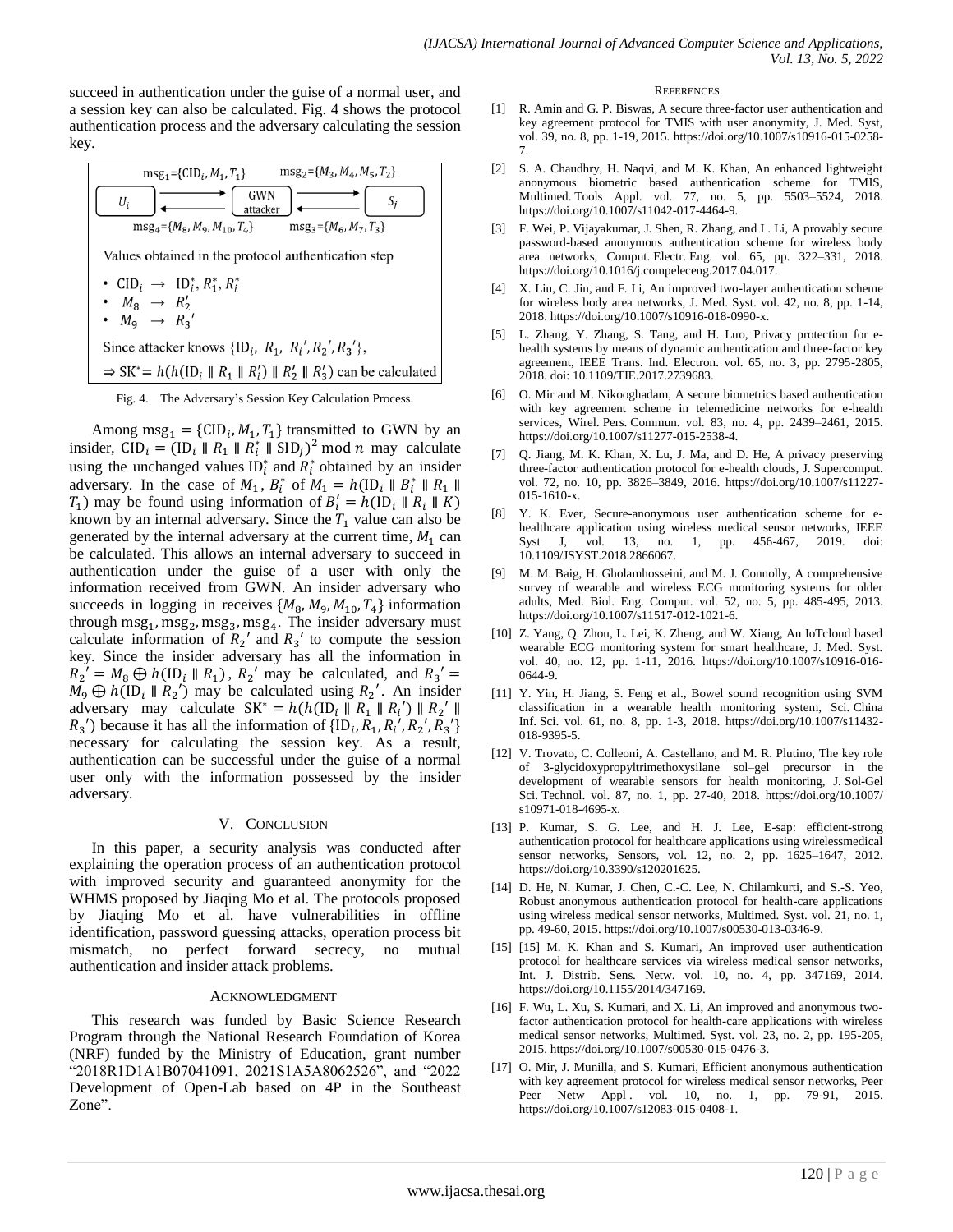succeed in authentication under the guise of a normal user, and a session key can also be calculated. Fig. 4 shows the protocol authentication process and the adversary calculating the session key.

 $\text{msg}_2 = \{M_3, M_4, M_5, T_2\}$  $msg_1 = \{CID_i, M_1, T_1\}$ GWN  $U_i$  $S_i$ attacker  $msg_4 = {M_8, M_9, M_{10}, T_4}$  $\text{msg}_3 = \{M_6, M_7, T_3\}$ Values obtained in the protocol authentication step •  $CID_i \rightarrow ID_i^*, R_i^*, R_i^*$ •  $M_8 \rightarrow R'_2$ <br>•  $M_9 \rightarrow R_3$ Since attacker knows  $\{ID_i, R_1, R_i', R_2', R_3'\},$  $\Rightarrow$  SK<sup>\*</sup> =  $h(h(\text{ID}_{i} \parallel R_1 \parallel R'_i) \parallel R'_2 \parallel R'_3)$  can be calculated

Fig. 4. The Adversary's Session Key Calculation Process.

Among  $\text{msg}_1 = \{ \text{CID}_i, M_1, T_1 \}$  transmitted to GWN by an insider,  $CID_i = (ID_i || R_1 || R_i^* || SID_i)^2$  mod *n* may calculate using the unchanged values  $ID_i^*$  and  $\overline{R_i^*}$  obtained by an insider adversary. In the case of  $M_1$ ,  $B_i^*$  of  $M_1 = h(\text{ID}_i || B_i^* ||$  $T_1$ ) may be found using information of  $B_i'$ known by an internal adversary. Since the  $T_1$  value can also be generated by the internal adversary at the current time,  $M_1$  can be calculated. This allows an internal adversary to succeed in authentication under the guise of a user with only the information received from GWN. An insider adversary who succeeds in logging in receives  $\{M_8, M_9, M_{10}, T_4\}$  information through  $msg_1, msg_2, msg_3, msg_4$ . The insider adversary must calculate information of  $R_2$ <sup>'</sup> and  $R_3$ <sup>'</sup> to compute the session key. Since the insider adversary has all the information in  $R_2' = M_8 \oplus h(\text{ID}_i \parallel R_1), R_2'$  may be calculated, and  $R_3'$  $M_9 \oplus h(\text{ID}_i \parallel R_2)$  may be calculated using  $R_2$ '. An insider adversary may calculate  $SK^* = h(h(ID_i \parallel R_1 \parallel R_i') \parallel R_2'$  $R_3$ <sup>'</sup>) because it has all the information of  $\{ID_i, R_1, R_i, R_2, R_3\}$ ' necessary for calculating the session key. As a result, authentication can be successful under the guise of a normal user only with the information possessed by the insider adversary.

#### V. CONCLUSION

In this paper, a security analysis was conducted after explaining the operation process of an authentication protocol with improved security and guaranteed anonymity for the WHMS proposed by Jiaqing Mo et al. The protocols proposed by Jiaqing Mo et al. have vulnerabilities in offline identification, password guessing attacks, operation process bit mismatch, no perfect forward secrecy, no mutual authentication and insider attack problems.

#### ACKNOWLEDGMENT

This research was funded by Basic Science Research Program through the National Research Foundation of Korea (NRF) funded by the Ministry of Education, grant number "2018R1D1A1B07041091, 2021S1A5A8062526", and "2022 Development of Open-Lab based on 4P in the Southeast Zone".

#### **REFERENCES**

- [1] R. Amin and G. P. Biswas, A secure three-factor user authentication and key agreement protocol for TMIS with user anonymity, J. Med. Syst, vol. 39, no. 8, pp. 1-19, 2015. https://doi.org/10.1007/s10916-015-0258- 7.
- [2] S. A. Chaudhry, H. Naqvi, and M. K. Khan, An enhanced lightweight anonymous biometric based authentication scheme for TMIS, Multimed. Tools Appl. vol. 77, no. 5, pp. 5503–5524, 2018. https://doi.org/10.1007/s11042-017-4464-9.
- [3] F. Wei, P. Vijayakumar, J. Shen, R. Zhang, and L. Li, A provably secure password-based anonymous authentication scheme for wireless body area networks, Comput. Electr. Eng. vol. 65, pp. 322–331, 2018. https://doi.org/10.1016/j.compeleceng.2017.04.017.
- [4] X. Liu, C. Jin, and F. Li, An improved two-layer authentication scheme for wireless body area networks, J. Med. Syst. vol. 42, no. 8, pp. 1-14, 2018. https://doi.org/10.1007/s10916-018-0990-x.
- [5] L. Zhang, Y. Zhang, S. Tang, and H. Luo, Privacy protection for ehealth systems by means of dynamic authentication and three-factor key agreement, IEEE Trans. Ind. Electron. vol. 65, no. 3, pp. 2795-2805, 2018. doi: 10.1109/TIE.2017.2739683.
- [6] O. Mir and M. Nikooghadam, A secure biometrics based authentication with key agreement scheme in telemedicine networks for e-health services, Wirel. Pers. Commun. vol. 83, no. 4, pp. 2439–2461, 2015. https://doi.org/10.1007/s11277-015-2538-4.
- [7] Q. Jiang, M. K. Khan, X. Lu, J. Ma, and D. He, A privacy preserving three-factor authentication protocol for e-health clouds, J. Supercomput. vol. 72, no. 10, pp. 3826–3849, 2016. https://doi.org/10.1007/s11227- 015-1610-x.
- [8] Y. K. Ever, Secure-anonymous user authentication scheme for ehealthcare application using wireless medical sensor networks, IEEE Syst J, vol. 13, no. 1, pp. 456-467, 2019. doi: 10.1109/JSYST.2018.2866067.
- [9] M. M. Baig, H. Gholamhosseini, and M. J. Connolly, A comprehensive survey of wearable and wireless ECG monitoring systems for older adults, Med. Biol. Eng. Comput. vol. 52, no. 5, pp. 485-495, 2013. https://doi.org/10.1007/s11517-012-1021-6.
- [10] Z. Yang, Q. Zhou, L. Lei, K. Zheng, and W. Xiang, An IoTcloud based wearable ECG monitoring system for smart healthcare, J. Med. Syst. vol. 40, no. 12, pp. 1-11, 2016. https://doi.org/10.1007/s10916-016- 0644-9.
- [11] Y. Yin, H. Jiang, S. Feng et al., Bowel sound recognition using SVM classification in a wearable health monitoring system, Sci. China Inf. Sci. vol. 61, no. 8, pp. 1-3, 2018. https://doi.org/10.1007/s11432- 018-9395-5.
- [12] V. Trovato, C. Colleoni, A. Castellano, and M. R. Plutino, The key role of 3-glycidoxypropyltrimethoxysilane sol–gel precursor in the development of wearable sensors for health monitoring, J. Sol-Gel Sci. Technol. vol. 87, no. 1, pp. 27-40, 2018. https://doi.org/10.1007/ s10971-018-4695-x.
- [13] P. Kumar, S. G. Lee, and H. J. Lee, E-sap: efficient-strong authentication protocol for healthcare applications using wirelessmedical sensor networks, Sensors, vol. 12, no. 2, pp. 1625–1647, 2012. [https://doi.org/10.3390/s120201625.](https://doi.org/10.3390/s120201625)
- [14] D. He, N. Kumar, J. Chen, C.-C. Lee, N. Chilamkurti, and S.-S. Yeo, Robust anonymous authentication protocol for health-care applications using wireless medical sensor networks, Multimed. Syst. vol. 21, no. 1, pp. 49-60, 2015. https://doi.org/10.1007/s00530-013-0346-9.
- [15] [15] M. K. Khan and S. Kumari, An improved user authentication protocol for healthcare services via wireless medical sensor networks, Int. J. Distrib. Sens. Netw. vol. 10, no. 4, pp. 347169, 2014. [https://doi.org/10.1155/2014/347169.](https://doi.org/10.1155%2F2014%2F347169)
- [16] F. Wu, L. Xu, S. Kumari, and X. Li, An improved and anonymous twofactor authentication protocol for health-care applications with wireless medical sensor networks, Multimed. Syst. vol. 23, no. 2, pp. 195-205, 2015. https://doi.org/10.1007/s00530-015-0476-3.
- [17] O. Mir, J. Munilla, and S. Kumari, Efficient anonymous authentication with key agreement protocol for wireless medical sensor networks, Peer Peer Netw Appl .vol. 10, no. 1, pp. 79-91, 2015. https://doi.org/10.1007/s12083-015-0408-1.